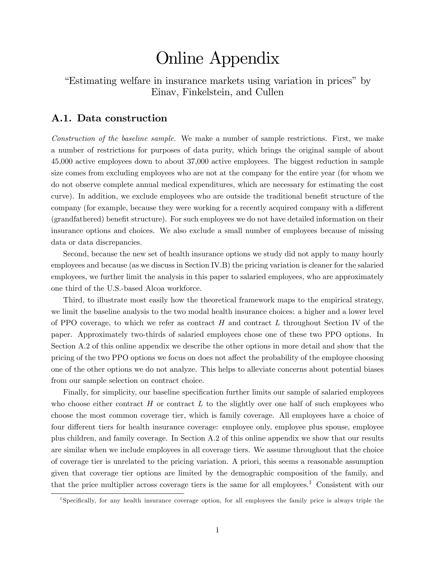# Online Appendix

Estimating welfare in insurance markets using variation in prices" by Einav, Finkelstein, and Cullen

## A.1. Data construction

Construction of the baseline sample. We make a number of sample restrictions. First, we make a number of restrictions for purposes of data purity, which brings the original sample of about 45,000 active employees down to about 37,000 active employees. The biggest reduction in sample size comes from excluding employees who are not at the company for the entire year (for whom we do not observe complete annual medical expenditures, which are necessary for estimating the cost curve). In addition, we exclude employees who are outside the traditional benefit structure of the company (for example, because they were working for a recently acquired company with a different (grandfathered) benefit structure). For such employees we do not have detailed information on their insurance options and choices. We also exclude a small number of employees because of missing data or data discrepancies.

Second, because the new set of health insurance options we study did not apply to many hourly employees and because (as we discuss in Section IV.B) the pricing variation is cleaner for the salaried employees, we further limit the analysis in this paper to salaried employees, who are approximately one third of the U.S.-based Alcoa workforce.

Third, to illustrate most easily how the theoretical framework maps to the empirical strategy, we limit the baseline analysis to the two modal health insurance choices: a higher and a lower level of PPO coverage, to which we refer as contract  $H$  and contract  $L$  throughout Section IV of the paper. Approximately two-thirds of salaried employees chose one of these two PPO options. In Section A.2 of this online appendix we describe the other options in more detail and show that the pricing of the two PPO options we focus on does not affect the probability of the employee choosing one of the other options we do not analyze. This helps to alleviate concerns about potential biases from our sample selection on contract choice.

Finally, for simplicity, our baseline specification further limits our sample of salaried employees who choose either contract  $H$  or contract  $L$  to the slightly over one half of such employees who choose the most common coverage tier, which is family coverage. All employees have a choice of four different tiers for health insurance coverage: employee only, employee plus spouse, employee plus children, and family coverage. In Section A.2 of this online appendix we show that our results are similar when we include employees in all coverage tiers. We assume throughout that the choice of coverage tier is unrelated to the pricing variation. A priori, this seems a reasonable assumption given that coverage tier options are limited by the demographic composition of the family, and that the price multiplier across coverage tiers is the same for all employees.<sup>1</sup> Consistent with our

<sup>&</sup>lt;sup>1</sup>Specifically, for any health insurance coverage option, for all employees the family price is always triple the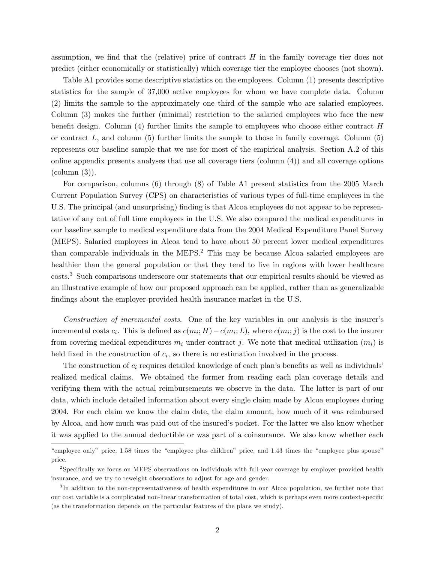assumption, we find that the (relative) price of contract  $H$  in the family coverage tier does not predict (either economically or statistically) which coverage tier the employee chooses (not shown).

Table A1 provides some descriptive statistics on the employees. Column (1) presents descriptive statistics for the sample of 37,000 active employees for whom we have complete data. Column (2) limits the sample to the approximately one third of the sample who are salaried employees. Column (3) makes the further (minimal) restriction to the salaried employees who face the new benefit design. Column  $(4)$  further limits the sample to employees who choose either contract H or contract  $L$ , and column  $(5)$  further limits the sample to those in family coverage. Column  $(5)$ represents our baseline sample that we use for most of the empirical analysis. Section A.2 of this online appendix presents analyses that use all coverage tiers (column (4)) and all coverage options  $\text{(column (3))}.$ 

For comparison, columns (6) through (8) of Table A1 present statistics from the 2005 March Current Population Survey (CPS) on characteristics of various types of full-time employees in the U.S. The principal (and unsurprising) finding is that Alcoa employees do not appear to be representative of any cut of full time employees in the U.S. We also compared the medical expenditures in our baseline sample to medical expenditure data from the 2004 Medical Expenditure Panel Survey (MEPS). Salaried employees in Alcoa tend to have about 50 percent lower medical expenditures than comparable individuals in the MEPS.<sup>2</sup> This may be because Alcoa salaried employees are healthier than the general population or that they tend to live in regions with lower healthcare costs.<sup>3</sup> Such comparisons underscore our statements that our empirical results should be viewed as an illustrative example of how our proposed approach can be applied, rather than as generalizable findings about the employer-provided health insurance market in the U.S.

Construction of incremental costs. One of the key variables in our analysis is the insurer's incremental costs  $c_i$ . This is defined as  $c(m_i; H) - c(m_i; L)$ , where  $c(m_i; j)$  is the cost to the insurer from covering medical expenditures  $m_i$  under contract j. We note that medical utilization  $(m_i)$  is held fixed in the construction of  $c_i$ , so there is no estimation involved in the process.

The construction of  $c_i$  requires detailed knowledge of each plan's benefits as well as individuals realized medical claims. We obtained the former from reading each plan coverage details and verifying them with the actual reimbursements we observe in the data. The latter is part of our data, which include detailed information about every single claim made by Alcoa employees during 2004. For each claim we know the claim date, the claim amount, how much of it was reimbursed by Alcoa, and how much was paid out of the insured's pocket. For the latter we also know whether it was applied to the annual deductible or was part of a coinsurance. We also know whether each

<sup>&</sup>quot;employee only" price, 1.58 times the "employee plus children" price, and 1.43 times the "employee plus spouse" price.

<sup>&</sup>lt;sup>2</sup>Specifically we focus on MEPS observations on individuals with full-year coverage by employer-provided health insurance, and we try to reweight observations to adjust for age and gender.

<sup>&</sup>lt;sup>3</sup>In addition to the non-representativeness of health expenditures in our Alcoa population, we further note that our cost variable is a complicated non-linear transformation of total cost, which is perhaps even more context-specific (as the transformation depends on the particular features of the plans we study).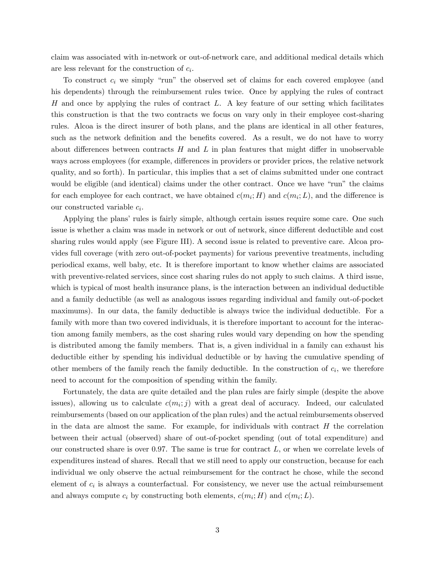claim was associated with in-network or out-of-network care, and additional medical details which are less relevant for the construction of  $c_i$ .

To construct  $c_i$  we simply "run" the observed set of claims for each covered employee (and his dependents) through the reimbursement rules twice. Once by applying the rules of contract H and once by applying the rules of contract  $L$ . A key feature of our setting which facilitates this construction is that the two contracts we focus on vary only in their employee cost-sharing rules. Alcoa is the direct insurer of both plans, and the plans are identical in all other features, such as the network definition and the benefits covered. As a result, we do not have to worry about differences between contracts  $H$  and  $L$  in plan features that might differ in unobservable ways across employees (for example, differences in providers or provider prices, the relative network quality, and so forth). In particular, this implies that a set of claims submitted under one contract would be eligible (and identical) claims under the other contract. Once we have "run" the claims for each employee for each contract, we have obtained  $c(m_i; H)$  and  $c(m_i; L)$ , and the difference is our constructed variable  $c_i$ .

Applying the plans' rules is fairly simple, although certain issues require some care. One such issue is whether a claim was made in network or out of network, since different deductible and cost sharing rules would apply (see Figure III). A second issue is related to preventive care. Alcoa provides full coverage (with zero out-of-pocket payments) for various preventive treatments, including periodical exams, well baby, etc. It is therefore important to know whether claims are associated with preventive-related services, since cost sharing rules do not apply to such claims. A third issue, which is typical of most health insurance plans, is the interaction between an individual deductible and a family deductible (as well as analogous issues regarding individual and family out-of-pocket maximums). In our data, the family deductible is always twice the individual deductible. For a family with more than two covered individuals, it is therefore important to account for the interaction among family members, as the cost sharing rules would vary depending on how the spending is distributed among the family members. That is, a given individual in a family can exhaust his deductible either by spending his individual deductible or by having the cumulative spending of other members of the family reach the family deductible. In the construction of  $c_i$ , we therefore need to account for the composition of spending within the family.

Fortunately, the data are quite detailed and the plan rules are fairly simple (despite the above issues), allowing us to calculate  $c(m_i; j)$  with a great deal of accuracy. Indeed, our calculated reimbursements (based on our application of the plan rules) and the actual reimbursements observed in the data are almost the same. For example, for individuals with contract  $H$  the correlation between their actual (observed) share of out-of-pocket spending (out of total expenditure) and our constructed share is over 0.97. The same is true for contract  $L$ , or when we correlate levels of expenditures instead of shares. Recall that we still need to apply our construction, because for each individual we only observe the actual reimbursement for the contract he chose, while the second element of  $c_i$  is always a counterfactual. For consistency, we never use the actual reimbursement and always compute  $c_i$  by constructing both elements,  $c(m_i; H)$  and  $c(m_i; L)$ .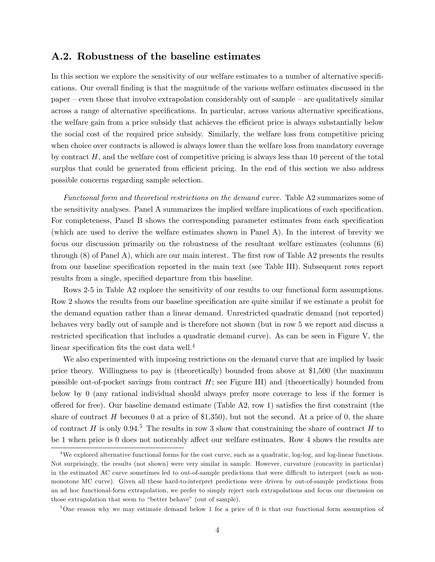## A.2. Robustness of the baseline estimates

In this section we explore the sensitivity of our welfare estimates to a number of alternative specifications. Our overall Önding is that the magnitude of the various welfare estimates discussed in the paper  $-\neq$  even those that involve extrapolation considerably out of sample  $-\neq$  qualitatively similar across a range of alternative specifications. In particular, across various alternative specifications, the welfare gain from a price subsidy that achieves the efficient price is always substantially below the social cost of the required price subsidy. Similarly, the welfare loss from competitive pricing when choice over contracts is allowed is always lower than the welfare loss from mandatory coverage by contract  $H$ , and the welfare cost of competitive pricing is always less than 10 percent of the total surplus that could be generated from efficient pricing. In the end of this section we also address possible concerns regarding sample selection.

Functional form and theoretical restrictions on the demand curve. Table A2 summarizes some of the sensitivity analyses. Panel A summarizes the implied welfare implications of each specification. For completeness, Panel B shows the corresponding parameter estimates from each specification (which are used to derive the welfare estimates shown in Panel A). In the interest of brevity we focus our discussion primarily on the robustness of the resultant welfare estimates (columns (6) through  $(8)$  of Panel A), which are our main interest. The first row of Table A2 presents the results from our baseline specification reported in the main text (see Table III). Subsequent rows report results from a single, specified departure from this baseline.

Rows 2-5 in Table A2 explore the sensitivity of our results to our functional form assumptions. Row 2 shows the results from our baseline specification are quite similar if we estimate a probit for the demand equation rather than a linear demand. Unrestricted quadratic demand (not reported) behaves very badly out of sample and is therefore not shown (but in row 5 we report and discuss a restricted specification that includes a quadratic demand curve). As can be seen in Figure V, the linear specification fits the cost data well. $4$ 

We also experimented with imposing restrictions on the demand curve that are implied by basic price theory. Willingness to pay is (theoretically) bounded from above at \$1,500 (the maximum possible out-of-pocket savings from contract  $H$ ; see Figure III) and (theoretically) bounded from below by 0 (any rational individual should always prefer more coverage to less if the former is offered for free). Our baseline demand estimate (Table  $A2$ , row 1) satisfies the first constraint (the share of contract  $H$  becomes 0 at a price of \$1,350), but not the second. At a price of 0, the share of contract H is only 0.94.<sup>5</sup> The results in row 3 show that constraining the share of contract H to be 1 when price is 0 does not noticeably affect our welfare estimates. Row 4 shows the results are

<sup>&</sup>lt;sup>4</sup>We explored alternative functional forms for the cost curve, such as a quadratic, log-log, and log-linear functions. Not surprisingly, the results (not shown) were very similar in sample. However, curvature (concavity in particular) in the estimated AC curve sometimes led to out-of-sample predictions that were difficult to interpret (such as nonmonotone MC curve). Given all these hard-to-interpret predictions were driven by out-of-sample predictions from an ad hoc functional-form extrapolation, we prefer to simply reject such extrapolations and focus our discussion on those extrapolation that seem to "better behave" (out of sample).

<sup>&</sup>lt;sup>5</sup>One reason why we may estimate demand below 1 for a price of 0 is that our functional form assumption of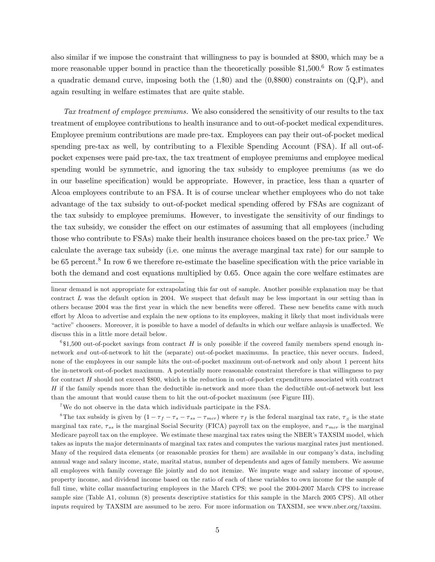also similar if we impose the constraint that willingness to pay is bounded at \$800, which may be a more reasonable upper bound in practice than the theoretically possible  $$1,500$ .<sup>6</sup> Row 5 estimates a quadratic demand curve, imposing both the  $(1, \$0)$  and the  $(0, \$800)$  constraints on  $(Q, P)$ , and again resulting in welfare estimates that are quite stable.

Tax treatment of employee premiums. We also considered the sensitivity of our results to the tax treatment of employee contributions to health insurance and to out-of-pocket medical expenditures. Employee premium contributions are made pre-tax. Employees can pay their out-of-pocket medical spending pre-tax as well, by contributing to a Flexible Spending Account (FSA). If all out-ofpocket expenses were paid pre-tax, the tax treatment of employee premiums and employee medical spending would be symmetric, and ignoring the tax subsidy to employee premiums (as we do in our baseline specification) would be appropriate. However, in practice, less than a quarter of Alcoa employees contribute to an FSA. It is of course unclear whether employees who do not take advantage of the tax subsidy to out-of-pocket medical spending offered by FSAs are cognizant of the tax subsidy to employee premiums. However, to investigate the sensitivity of our findings to the tax subsidy, we consider the effect on our estimates of assuming that all employees (including those who contribute to FSAs) make their health insurance choices based on the pre-tax price.<sup>7</sup> We calculate the average tax subsidy (i.e. one minus the average marginal tax rate) for our sample to be 65 percent.<sup>8</sup> In row 6 we therefore re-estimate the baseline specification with the price variable in both the demand and cost equations multiplied by 0.65. Once again the core welfare estimates are

 $6,61,500$  out-of-pocket savings from contract H is only possible if the covered family members spend enough innetwork and out-of-network to hit the (separate) out-of-pocket maximums. In practice, this never occurs. Indeed, none of the employees in our sample hits the out-of-pocket maximum out-of-network and only about 1 percent hits the in-network out-of-pocket maximum. A potentially more reasonable constraint therefore is that willingness to pay for contract H should not exceed \$800, which is the reduction in out-of-pocket expenditures associated with contract H if the family spends more than the deductible in-network and more than the deductible out-of-network but less than the amount that would cause them to hit the out-of-pocket maximum (see Figure III).

<sup>7</sup>We do not observe in the data which individuals participate in the FSA.

<sup>8</sup>The tax subsidy is given by  $(1 - \tau_f - \tau_s - \tau_{ss} - \tau_{mcr})$  where  $\tau_f$  is the federal marginal tax rate,  $\tau_s$  is the state marginal tax rate,  $\tau_{ss}$  is the marginal Social Security (FICA) payroll tax on the employee, and  $\tau_{mc}$  is the marginal Medicare payroll tax on the employee. We estimate these marginal tax rates using the NBER's TAXSIM model, which takes as inputs the major determinants of marginal tax rates and computes the various marginal rates just mentioned. Many of the required data elements (or reasonable proxies for them) are available in our companyís data, including annual wage and salary income, state, marital status, number of dependents and ages of family members. We assume all employees with family coverage Öle jointly and do not itemize. We impute wage and salary income of spouse, property income, and dividend income based on the ratio of each of these variables to own income for the sample of full time, white collar manufacturing employees in the March CPS; we pool the 2004-2007 March CPS to increase sample size (Table A1, column (8) presents descriptive statistics for this sample in the March 2005 CPS). All other inputs required by TAXSIM are assumed to be zero. For more information on TAXSIM, see www.nber.org/taxsim.

linear demand is not appropriate for extrapolating this far out of sample. Another possible explanation may be that contract L was the default option in 2004. We suspect that default may be less important in our setting than in others because 2004 was the first year in which the new benefits were offered. These new benefits came with much effort by Alcoa to advertise and explain the new options to its employees, making it likely that most individuals were <sup>a</sup>ctive" choosers. Moreover, it is possible to have a model of defaults in which our welfare anlaysis is unaffected. We discuss this in a little more detail below.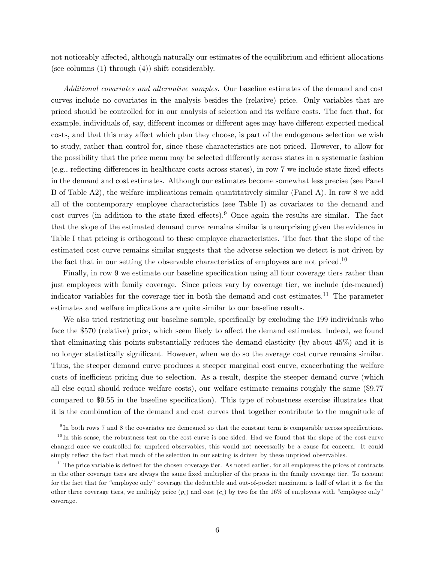not noticeably affected, although naturally our estimates of the equilibrium and efficient allocations (see columns (1) through (4)) shift considerably.

Additional covariates and alternative samples. Our baseline estimates of the demand and cost curves include no covariates in the analysis besides the (relative) price. Only variables that are priced should be controlled for in our analysis of selection and its welfare costs. The fact that, for example, individuals of, say, different incomes or different ages may have different expected medical costs, and that this may affect which plan they choose, is part of the endogenous selection we wish to study, rather than control for, since these characteristics are not priced. However, to allow for the possibility that the price menu may be selected differently across states in a systematic fashion  $(e.g., reflecting differences in healthcare costs across states), in row 7 we include state fixed effects$ in the demand and cost estimates. Although our estimates become somewhat less precise (see Panel B of Table A2), the welfare implications remain quantitatively similar (Panel A). In row 8 we add all of the contemporary employee characteristics (see Table I) as covariates to the demand and cost curves (in addition to the state fixed effects).<sup>9</sup> Once again the results are similar. The fact that the slope of the estimated demand curve remains similar is unsurprising given the evidence in Table I that pricing is orthogonal to these employee characteristics. The fact that the slope of the estimated cost curve remains similar suggests that the adverse selection we detect is not driven by the fact that in our setting the observable characteristics of employees are not priced.<sup>10</sup>

Finally, in row 9 we estimate our baseline specification using all four coverage tiers rather than just employees with family coverage. Since prices vary by coverage tier, we include (de-meaned) indicator variables for the coverage tier in both the demand and cost estimates.<sup>11</sup> The parameter estimates and welfare implications are quite similar to our baseline results.

We also tried restricting our baseline sample, specifically by excluding the 199 individuals who face the \$570 (relative) price, which seem likely to affect the demand estimates. Indeed, we found that eliminating this points substantially reduces the demand elasticity (by about 45%) and it is no longer statistically significant. However, when we do so the average cost curve remains similar. Thus, the steeper demand curve produces a steeper marginal cost curve, exacerbating the welfare costs of inefficient pricing due to selection. As a result, despite the steeper demand curve (which all else equal should reduce welfare costs), our welfare estimate remains roughly the same (\$9.77 compared to \$9.55 in the baseline specification). This type of robustness exercise illustrates that it is the combination of the demand and cost curves that together contribute to the magnitude of

 $^{9}$ In both rows 7 and 8 the covariates are demeaned so that the constant term is comparable across specifications.

 $10$ In this sense, the robustness test on the cost curve is one sided. Had we found that the slope of the cost curve changed once we controlled for unpriced observables, this would not necessarily be a cause for concern. It could simply reflect the fact that much of the selection in our setting is driven by these unpriced observables.

 $11$ The price variable is defined for the chosen coverage tier. As noted earlier, for all employees the prices of contracts in the other coverage tiers are always the same Öxed multiplier of the prices in the family coverage tier. To account for the fact that for "employee only" coverage the deductible and out-of-pocket maximum is half of what it is for the other three coverage tiers, we multiply price  $(p_i)$  and cost  $(c_i)$  by two for the 16% of employees with "employee only" coverage.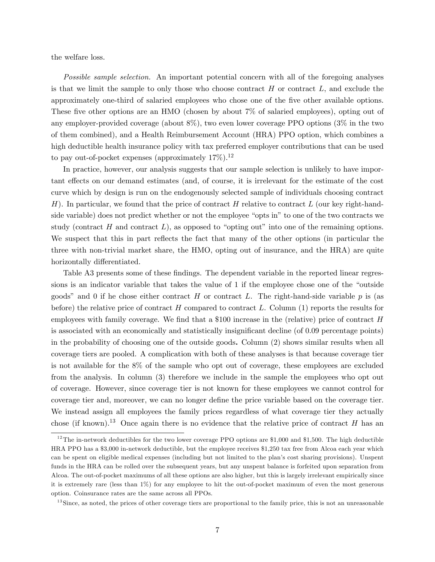the welfare loss.

Possible sample selection. An important potential concern with all of the foregoing analyses is that we limit the sample to only those who choose contract  $H$  or contract  $L$ , and exclude the approximately one-third of salaried employees who chose one of the five other available options. These five other options are an HMO (chosen by about 7% of salaried employees), opting out of any employer-provided coverage (about 8%), two even lower coverage PPO options (3% in the two of them combined), and a Health Reimbursement Account (HRA) PPO option, which combines a high deductible health insurance policy with tax preferred employer contributions that can be used to pay out-of-pocket expenses (approximately  $17\%$ ).<sup>12</sup>

In practice, however, our analysis suggests that our sample selection is unlikely to have important effects on our demand estimates (and, of course, it is irrelevant for the estimate of the cost curve which by design is run on the endogenously selected sample of individuals choosing contract H). In particular, we found that the price of contract H relative to contract L (our key right-handside variable) does not predict whether or not the employee "opts in" to one of the two contracts we study (contract H and contract  $L$ ), as opposed to "opting out" into one of the remaining options. We suspect that this in part reflects the fact that many of the other options (in particular the three with non-trivial market share, the HMO, opting out of insurance, and the HRA) are quite horizontally differentiated.

Table A3 presents some of these findings. The dependent variable in the reported linear regressions is an indicator variable that takes the value of 1 if the employee chose one of the "outside" goods" and 0 if he chose either contract H or contract L. The right-hand-side variable  $p$  is (as before) the relative price of contract H compared to contract L. Column  $(1)$  reports the results for employees with family coverage. We find that a \$100 increase in the (relative) price of contract  $H$ is associated with an economically and statistically insignificant decline (of 0.09 percentage points) in the probability of choosing one of the outside goods. Column (2) shows similar results when all coverage tiers are pooled. A complication with both of these analyses is that because coverage tier is not available for the 8% of the sample who opt out of coverage, these employees are excluded from the analysis. In column (3) therefore we include in the sample the employees who opt out of coverage. However, since coverage tier is not known for these employees we cannot control for coverage tier and, moreover, we can no longer define the price variable based on the coverage tier. We instead assign all employees the family prices regardless of what coverage tier they actually chose (if known).<sup>13</sup> Once again there is no evidence that the relative price of contract H has an

 $12$ The in-network deductibles for the two lower coverage PPO options are \$1,000 and \$1,500. The high deductible HRA PPO has a \$3,000 in-network deductible, but the employee receives \$1,250 tax free from Alcoa each year which can be spent on eligible medical expenses (including but not limited to the planís cost sharing provisions). Unspent funds in the HRA can be rolled over the subsequent years, but any unspent balance is forfeited upon separation from Alcoa. The out-of-pocket maximums of all these options are also higher, but this is largely irrelevant empirically since it is extremely rare (less than 1%) for any employee to hit the out-of-pocket maximum of even the most generous option. Coinsurance rates are the same across all PPOs.

 $13$  Since, as noted, the prices of other coverage tiers are proportional to the family price, this is not an unreasonable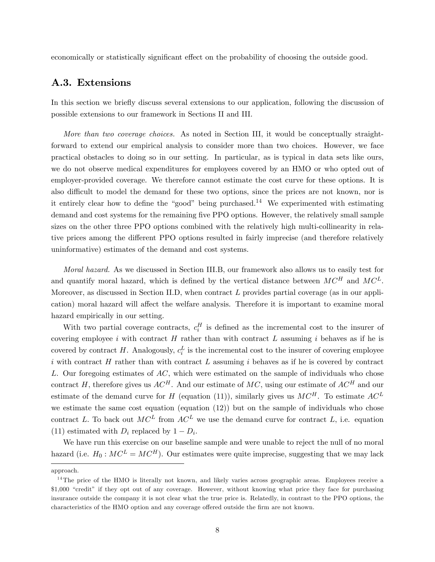economically or statistically significant effect on the probability of choosing the outside good.

## A.3. Extensions

In this section we briefly discuss several extensions to our application, following the discussion of possible extensions to our framework in Sections II and III.

More than two coverage choices. As noted in Section III, it would be conceptually straightforward to extend our empirical analysis to consider more than two choices. However, we face practical obstacles to doing so in our setting. In particular, as is typical in data sets like ours, we do not observe medical expenditures for employees covered by an HMO or who opted out of employer-provided coverage. We therefore cannot estimate the cost curve for these options. It is also difficult to model the demand for these two options, since the prices are not known, nor is it entirely clear how to define the "good" being purchased.<sup>14</sup> We experimented with estimating demand and cost systems for the remaining five PPO options. However, the relatively small sample sizes on the other three PPO options combined with the relatively high multi-collinearity in relative prices among the different PPO options resulted in fairly imprecise (and therefore relatively uninformative) estimates of the demand and cost systems.

Moral hazard. As we discussed in Section III.B, our framework also allows us to easily test for and quantify moral hazard, which is defined by the vertical distance between  $MC^H$  and  $MC^L$ . Moreover, as discussed in Section II.D, when contract  $L$  provides partial coverage (as in our application) moral hazard will affect the welfare analysis. Therefore it is important to examine moral hazard empirically in our setting.

With two partial coverage contracts,  $c_i^H$  is defined as the incremental cost to the insurer of covering employee i with contract  $H$  rather than with contract  $L$  assuming i behaves as if he is covered by contract H. Analogously,  $c_i^L$  is the incremental cost to the insurer of covering employee i with contract  $H$  rather than with contract  $L$  assuming i behaves as if he is covered by contract  $L$ . Our foregoing estimates of  $AC$ , which were estimated on the sample of individuals who chose contract H, therefore gives us  $AC^H$ . And our estimate of MC, using our estimate of  $AC^H$  and our estimate of the demand curve for H (equation (11)), similarly gives us  $MC^H$ . To estimate  $AC^L$ we estimate the same cost equation (equation (12)) but on the sample of individuals who chose contract L. To back out  $MC^L$  from  $AC^L$  we use the demand curve for contract L, i.e. equation (11) estimated with  $D_i$  replaced by  $1 - D_i$ .

We have run this exercise on our baseline sample and were unable to reject the null of no moral hazard (i.e.  $H_0$ :  $MC^L = MC^H$ ). Our estimates were quite imprecise, suggesting that we may lack

approach.

<sup>&</sup>lt;sup>14</sup>The price of the HMO is literally not known, and likely varies across geographic areas. Employees receive a \$1,000 "credit" if they opt out of any coverage. However, without knowing what price they face for purchasing insurance outside the company it is not clear what the true price is. Relatedly, in contrast to the PPO options, the characteristics of the HMO option and any coverage offered outside the firm are not known.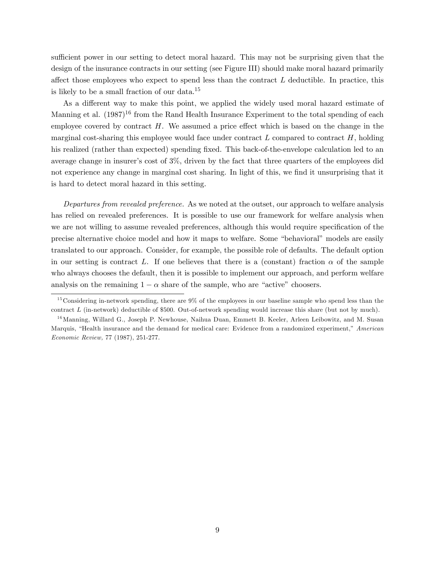sufficient power in our setting to detect moral hazard. This may not be surprising given that the design of the insurance contracts in our setting (see Figure III) should make moral hazard primarily affect those employees who expect to spend less than the contract  $L$  deductible. In practice, this is likely to be a small fraction of our data.<sup>15</sup>

As a different way to make this point, we applied the widely used moral hazard estimate of Manning et al.  $(1987)^{16}$  from the Rand Health Insurance Experiment to the total spending of each employee covered by contract  $H$ . We assumed a price effect which is based on the change in the marginal cost-sharing this employee would face under contract  $L$  compared to contract  $H$ , holding his realized (rather than expected) spending fixed. This back-of-the-envelope calculation led to an average change in insurer's cost of  $3\%$ , driven by the fact that three quarters of the employees did not experience any change in marginal cost sharing. In light of this, we find it unsurprising that it is hard to detect moral hazard in this setting.

Departures from revealed preference. As we noted at the outset, our approach to welfare analysis has relied on revealed preferences. It is possible to use our framework for welfare analysis when we are not willing to assume revealed preferences, although this would require specification of the precise alternative choice model and how it maps to welfare. Some "behavioral" models are easily translated to our approach. Consider, for example, the possible role of defaults. The default option in our setting is contract L. If one believes that there is a (constant) fraction  $\alpha$  of the sample who always chooses the default, then it is possible to implement our approach, and perform welfare analysis on the remaining  $1 - \alpha$  share of the sample, who are "active" choosers.

 $15$ Considering in-network spending, there are  $9\%$  of the employees in our baseline sample who spend less than the contract L (in-network) deductible of \$500. Out-of-network spending would increase this share (but not by much).

<sup>&</sup>lt;sup>16</sup> Manning, Willard G., Joseph P. Newhouse, Naihua Duan, Emmett B. Keeler, Arleen Leibowitz, and M. Susan Marquis, "Health insurance and the demand for medical care: Evidence from a randomized experiment," American Economic Review, 77 (1987), 251-277.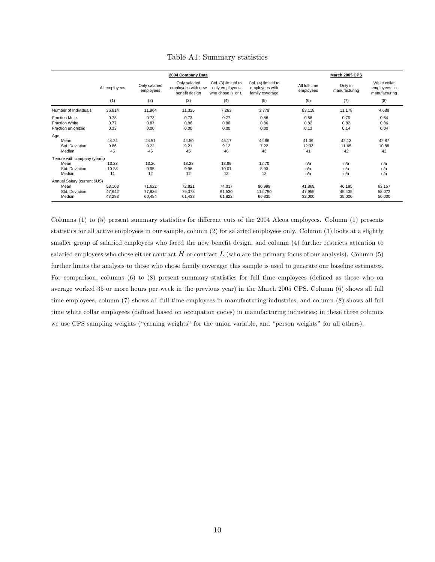|                                                                     |                            |                            | 2004 Company Data                                     |                                                               | <b>March 2005 CPS</b>                                    |                            |                            |                                               |
|---------------------------------------------------------------------|----------------------------|----------------------------|-------------------------------------------------------|---------------------------------------------------------------|----------------------------------------------------------|----------------------------|----------------------------|-----------------------------------------------|
|                                                                     | All employees              | Only salaried<br>employees | Only salaried<br>employees with new<br>benefit design | Col. (3) limited to<br>only employees<br>who chose $H$ or $L$ | Col. (4) limited to<br>employees with<br>family coverage | All full-time<br>employees | Only in<br>manufacturing   | White collar<br>employees in<br>manufacturing |
|                                                                     | (1)                        | (2)                        | (3)                                                   | (4)                                                           | (5)                                                      | (6)                        | (7)                        | (8)                                           |
| Number of Individuals                                               | 36,814                     | 11,964                     | 11,325                                                | 7,263                                                         | 3,779                                                    | 83,118                     | 11,178                     | 4,688                                         |
| <b>Fraction Male</b><br><b>Fraction White</b><br>Fraction unionized | 0.78<br>0.77<br>0.33       | 0.73<br>0.87<br>0.00       | 0.73<br>0.86<br>0.00                                  | 0.77<br>0.86<br>0.00                                          | 0.86<br>0.86<br>0.00                                     | 0.58<br>0.82<br>0.13       | 0.70<br>0.82<br>0.14       | 0.64<br>0.86<br>0.04                          |
| Age<br>Mean<br>Std. Deviation<br>Median                             | 44.24<br>9.86<br>45        | 44.51<br>9.22<br>45        | 44.50<br>9.21<br>45                                   | 45.17<br>9.12<br>46                                           | 42.66<br>7.22<br>43                                      | 41.39<br>12.33<br>41       | 42.13<br>11.45<br>42       | 42.87<br>10.88<br>43                          |
| Tenure with company (years)<br>Mean<br>Std. Deviation<br>Median     | 13.23<br>10.28<br>11       | 13.26<br>9.95<br>12        | 13.23<br>9.96<br>12                                   | 13.69<br>10.01<br>13                                          | 12.70<br>8.93<br>12                                      | n/a<br>n/a<br>n/a          | n/a<br>n/a<br>n/a          | n/a<br>n/a<br>n/a                             |
| Annual Salary (current \$US)<br>Mean<br>Std. Deviation<br>Median    | 53.103<br>47,642<br>47,283 | 71,622<br>77,936<br>60,484 | 72,821<br>79,373<br>61,433                            | 74.017<br>91,530<br>61,822                                    | 80,999<br>112,790<br>66,335                              | 41,869<br>47,955<br>32,000 | 46,195<br>45,435<br>35,000 | 63,157<br>58,072<br>50,000                    |

#### Table A1: Summary statistics

Columns (1) to (5) present summary statistics for different cuts of the 2004 Alcoa employees. Column (1) presents statistics for all active employees in our sample, column (2) for salaried employees only. Column (3) looks at a slightly smaller group of salaried employees who faced the new benefit design, and column (4) further restricts attention to salaried employees who chose either contract  $H$  or contract  $L$  (who are the primary focus of our analysis). Column (5) further limits the analysis to those who chose family coverage; this sample is used to generate our baseline estimates. For comparison, columns  $(6)$  to  $(8)$  present summary statistics for full time employees (defined as those who on average worked 35 or more hours per week in the previous year) in the March 2005 CPS. Column (6) shows all full time employees, column (7) shows all full time employees in manufacturing industries, and column (8) shows all full time white collar employees (defined based on occupation codes) in manufacturing industries; in these three columns we use CPS sampling weights ("earning weights" for the union variable, and "person weights" for all others).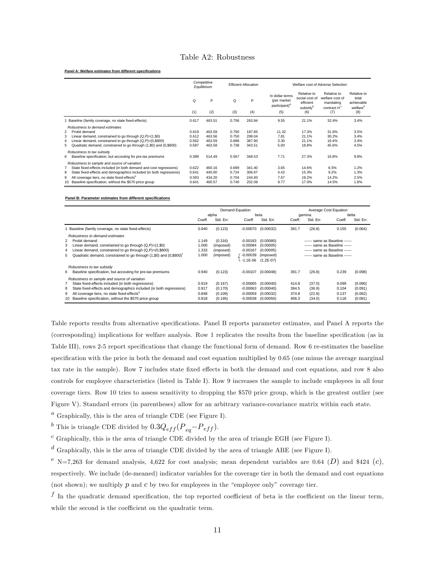### Table A2: Robustness

#### **Panel A: Welfare estimates from differe**

|                               |                                                                                                                                                                                                                                                                                                                  | Competitive<br>Equilibrium       |                                      |                                  | <b>Efficient Allocation</b>          |                                                                    | Welfare cost of Adverse Selection                                         |                                                                      |                                                                   |  |
|-------------------------------|------------------------------------------------------------------------------------------------------------------------------------------------------------------------------------------------------------------------------------------------------------------------------------------------------------------|----------------------------------|--------------------------------------|----------------------------------|--------------------------------------|--------------------------------------------------------------------|---------------------------------------------------------------------------|----------------------------------------------------------------------|-------------------------------------------------------------------|--|
|                               |                                                                                                                                                                                                                                                                                                                  | Q<br>(1)                         | P<br>(2)                             | Q<br>(3)                         | P<br>(4)                             | In dollar terms<br>(per market<br>participant) <sup>a</sup><br>(5) | Relative to<br>social cost of<br>efficient<br>subsidy <sup>b</sup><br>(6) | Relative to<br>welfare cost of<br>mandating<br>contract $H^c$<br>(7) | Relative to<br>total<br>achievable<br>welfare <sup>d</sup><br>(8) |  |
|                               |                                                                                                                                                                                                                                                                                                                  |                                  |                                      |                                  |                                      |                                                                    |                                                                           |                                                                      |                                                                   |  |
|                               | Baseline (family coverage, no state fixed-effects)                                                                                                                                                                                                                                                               | 0.617                            | 463.51                               | 0.756                            | 263.94                               | 9.55                                                               | 21.1%                                                                     | 32.4%                                                                | 3.4%                                                              |  |
| $\overline{2}$<br>3<br>4<br>5 | Robustness to demand estimates<br>Probit demand<br>Linear demand, constrained to go through $(Q, P) = (1, $0)$<br>Linear demand, constrained to go through $(Q, P) = (0, $800)$<br>Quadratic demand, constrained to go through (1,\$0) and (0,\$800)                                                             | 0.619<br>0.612<br>0.562<br>0.587 | 463.59<br>463.56<br>463.59<br>463.58 | 0.790<br>0.750<br>0.688<br>0.738 | 187.85<br>299.04<br>387.90<br>343.51 | 11.32<br>7.81<br>3.30<br>5.00                                      | 17.3%<br>21.1%<br>21.1%<br>18.8%                                          | 31.6%<br>30.2%<br>16.4%<br>45.6%                                     | 3.5%<br>3.4%<br>3.4%<br>4.5%                                      |  |
| 6                             | Robustness to tax subsidy<br>Baseline specification, but accouting for pre-tax premiums                                                                                                                                                                                                                          | 0.389                            | 514.49                               | 0.567                            | 348.53                               | 7.71                                                               | 27.3%                                                                     | 16.8%                                                                | 9.8%                                                              |  |
| $\overline{7}$<br>8<br>9      | Robustness to sample and source of variation<br>State fixed-effects included (in both demand and cost regressions)<br>State fixed-effects and demographics included (in both regressions)<br>All coverage tiers, no state fixed-effects <sup>e</sup><br>10 Baseline specification, without the \$570 price group | 0.622<br>0.641<br>0.593<br>0.641 | 460.16<br>440.00<br>434.20<br>460.57 | 0.699<br>0.724<br>0.704<br>0.740 | 341.40<br>306.67<br>244.83<br>202.09 | 3.65<br>4.42<br>7.67<br>9.77                                       | 14.6%<br>15.3%<br>19.2%<br>17.0%                                          | 6.5%<br>9.2%<br>14.2%<br>14.5%                                       | 1.2%<br>1.3%<br>2.5%<br>1.8%                                      |  |

**Panel B: Parameter estimates from different specifications**

|                                                                                  | Demand Equation |           |              |             | Average Cost Equation<br>delta |           |                                |           |
|----------------------------------------------------------------------------------|-----------------|-----------|--------------|-------------|--------------------------------|-----------|--------------------------------|-----------|
|                                                                                  | alpha           |           |              | beta        |                                |           | gamma                          |           |
|                                                                                  | Coeff.          | Std. Err. | Coeff.       | Std. Err.   | Coeff.                         | Std. Err. | Coeff.                         | Std. Err. |
| Baseline (family coverage, no state fixed-effects)                               | 0.940           | (0.123)   | $-0.00070$   | (0.00032)   | 391.7                          | (26.8)    | 0.155                          | (0.064)   |
| Robustness to demand estimates                                                   |                 |           |              |             |                                |           |                                |           |
| 2 Probit demand                                                                  | 1.149           | (0.316)   | $-0.00183$   | (0.00080)   |                                |           | ------ same as Baseline ------ |           |
| 3<br>Linear demand, constrained to go through $(Q, P) = (1, $0)$                 | 1.000           | (imposed) | $-0.00084$   | (0.00005)   |                                |           | ------ same as Baseline ------ |           |
| Linear demand, constrained to go through $(Q, P) = (0, $800)$<br>4               | 1.333           | (imposed) | $-0.00167$   | (0.00005)   |                                |           | ------ same as Baseline ------ |           |
| 5 Quadratic demand, constrained to go through (1,\$0) and (0,\$800) <sup>†</sup> | 1.000           | (imposed) | $-0.00039$   | (imposed)   |                                |           | ------ same as Baseline ------ |           |
|                                                                                  |                 |           | $-1.1E - 06$ | $(1.2E-07)$ |                                |           |                                |           |
| Robustness to tax subsidy                                                        |                 |           |              |             |                                |           |                                |           |
| 6 Baseline specification, but accouting for pre-tax premiums                     | 0.940           | (0.123)   | $-0.00107$   | (0.00048)   | 391.7                          | (26.8)    | 0.239                          | (0.098)   |
| Robustness to sample and source of variation                                     |                 |           |              |             |                                |           |                                |           |
| State fixed-effects included (in both regressions)                               | 0.919           | (0.167)   | $-0.00065$   | (0.00040)   | 414.8                          | (37.0)    | 0.099                          | (0.090)   |
| State fixed-effects and demographics included (in both regressions)<br>8         | 0.917           | (0.170)   | $-0.00063$   | (0.00040)   | 394.5                          | (36.9)    | 0.104                          | (0.091)   |
| All coverage tiers, no state fixed-effects <sup>e</sup><br>9                     | 0.848           | (0.109)   | $-0.00059$   | (0.00032)   | 374.8                          | (22.8)    | 0.137                          | (0.062)   |
| 10 Baseline specification, without the \$570 price group                         | 0.818           | (0.195)   | $-0.00038$   | (0.00050)   | 406.3                          | (34.0)    | 0.118                          | (0.081)   |
|                                                                                  |                 |           |              |             |                                |           |                                |           |

Table reports results from alternative specifications. Panel B reports parameter estimates, and Panel A reports the (corresponding) implications for welfare analysis. Row 1 replicates the results from the baseline specification (as in Table III), rows 2-5 report specifications that change the functional form of demand. Row 6 re-estimates the baseline specification with the price in both the demand and cost equation multiplied by 0.65 (one minus the average marginal tax rate in the sample). Row 7 includes state fixed effects in both the demand and cost equations, and row 8 also controls for employee characteristics (listed in Table I). Row 9 increases the sample to include employees in all four coverage tiers. Row 10 tries to assess sensitivity to dropping the \$570 price group, which is the greatest outlier (see Figure V). Standard errors (in parentheses) allow for an arbitrary variance-covariance matrix within each state.

 $^a$  Graphically, this is the area of triangle CDE (see Figure I).

 $^b$  This is triangle CDE divided by  $0.3 Q_{eff} (P_{eq}-P_{eff}).$ 

 $c$  Graphically, this is the area of triangle CDE divided by the area of triangle EGH (see Figure I).

 $d$  Graphically, this is the area of triangle CDE divided by the area of triangle ABE (see Figure I).

 $e$  N=7,263 for demand analysis, 4,622 for cost analysis; mean dependent variables are 0.64 (D) and \$424 (c), respectively. We include (de-meaned) indicator variables for the coverage tier in both the demand and cost equations (not shown); we multiply  $p$  and  $c$  by two for employees in the "employee only" coverage tier.

 $^f$  In the quadratic demand specification, the top reported coefficient of beta is the coefficient on the linear term, while the second is the coefficient on the quadratic term.